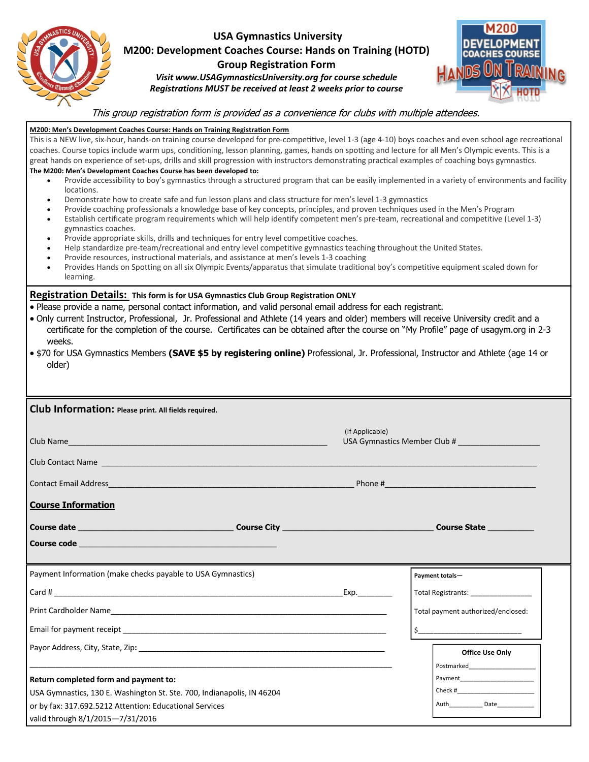| STANASTICS UNITS<br><b>Striking Through Equation</b> | ы |
|------------------------------------------------------|---|
|                                                      |   |

## **USA Gymnastics University M200: Development Coaches Course: Hands on Training (HOTD)**

## **Group Registration Form**

*Visit www.USAGymnasticsUniversity.org for course schedule Registrations MUST be received at least 2 weeks prior to course* 



## This group registration form is provided as a convenience for clubs with multiple attendees.

| M200: Men's Development Coaches Course: Hands on Training Registration Form<br>This is a NEW live, six-hour, hands-on training course developed for pre-competitive, level 1-3 (age 4-10) boys coaches and even school age recreational<br>coaches. Course topics include warm ups, conditioning, lesson planning, games, hands on spotting and lecture for all Men's Olympic events. This is a<br>great hands on experience of set-ups, drills and skill progression with instructors demonstrating practical examples of coaching boys gymnastics.<br>The M200: Men's Development Coaches Course has been developed to:<br>Provide accessibility to boy's gymnastics through a structured program that can be easily implemented in a variety of environments and facility<br>locations.<br>Demonstrate how to create safe and fun lesson plans and class structure for men's level 1-3 gymnastics<br>$\bullet$<br>Provide coaching professionals a knowledge base of key concepts, principles, and proven techniques used in the Men's Program<br>$\bullet$<br>Establish certificate program requirements which will help identify competent men's pre-team, recreational and competitive (Level 1-3)<br>$\bullet$<br>gymnastics coaches.<br>Provide appropriate skills, drills and techniques for entry level competitive coaches.<br>$\bullet$<br>Help standardize pre-team/recreational and entry level competitive gymnastics teaching throughout the United States.<br>$\bullet$<br>Provide resources, instructional materials, and assistance at men's levels 1-3 coaching<br>$\bullet$ |                                                                                                                                                                                                                                |                                                                                                                               |  |  |  |
|--------------------------------------------------------------------------------------------------------------------------------------------------------------------------------------------------------------------------------------------------------------------------------------------------------------------------------------------------------------------------------------------------------------------------------------------------------------------------------------------------------------------------------------------------------------------------------------------------------------------------------------------------------------------------------------------------------------------------------------------------------------------------------------------------------------------------------------------------------------------------------------------------------------------------------------------------------------------------------------------------------------------------------------------------------------------------------------------------------------------------------------------------------------------------------------------------------------------------------------------------------------------------------------------------------------------------------------------------------------------------------------------------------------------------------------------------------------------------------------------------------------------------------------------------------------------------------------------------|--------------------------------------------------------------------------------------------------------------------------------------------------------------------------------------------------------------------------------|-------------------------------------------------------------------------------------------------------------------------------|--|--|--|
| Provides Hands on Spotting on all six Olympic Events/apparatus that simulate traditional boy's competitive equipment scaled down for<br>learning.                                                                                                                                                                                                                                                                                                                                                                                                                                                                                                                                                                                                                                                                                                                                                                                                                                                                                                                                                                                                                                                                                                                                                                                                                                                                                                                                                                                                                                                |                                                                                                                                                                                                                                |                                                                                                                               |  |  |  |
| Registration Details: This form is for USA Gymnastics Club Group Registration ONLY<br>. Please provide a name, personal contact information, and valid personal email address for each registrant.<br>. Only current Instructor, Professional, Jr. Professional and Athlete (14 years and older) members will receive University credit and a<br>certificate for the completion of the course. Certificates can be obtained after the course on "My Profile" page of usagym.org in 2-3<br>weeks.<br>• \$70 for USA Gymnastics Members (SAVE \$5 by registering online) Professional, Jr. Professional, Instructor and Athlete (age 14 or<br>older)                                                                                                                                                                                                                                                                                                                                                                                                                                                                                                                                                                                                                                                                                                                                                                                                                                                                                                                                               |                                                                                                                                                                                                                                |                                                                                                                               |  |  |  |
| Club Information: Please print. All fields required.                                                                                                                                                                                                                                                                                                                                                                                                                                                                                                                                                                                                                                                                                                                                                                                                                                                                                                                                                                                                                                                                                                                                                                                                                                                                                                                                                                                                                                                                                                                                             |                                                                                                                                                                                                                                |                                                                                                                               |  |  |  |
| (If Applicable)<br>Club Name                                                                                                                                                                                                                                                                                                                                                                                                                                                                                                                                                                                                                                                                                                                                                                                                                                                                                                                                                                                                                                                                                                                                                                                                                                                                                                                                                                                                                                                                                                                                                                     |                                                                                                                                                                                                                                |                                                                                                                               |  |  |  |
|                                                                                                                                                                                                                                                                                                                                                                                                                                                                                                                                                                                                                                                                                                                                                                                                                                                                                                                                                                                                                                                                                                                                                                                                                                                                                                                                                                                                                                                                                                                                                                                                  |                                                                                                                                                                                                                                |                                                                                                                               |  |  |  |
|                                                                                                                                                                                                                                                                                                                                                                                                                                                                                                                                                                                                                                                                                                                                                                                                                                                                                                                                                                                                                                                                                                                                                                                                                                                                                                                                                                                                                                                                                                                                                                                                  |                                                                                                                                                                                                                                |                                                                                                                               |  |  |  |
| <b>Course Information</b>                                                                                                                                                                                                                                                                                                                                                                                                                                                                                                                                                                                                                                                                                                                                                                                                                                                                                                                                                                                                                                                                                                                                                                                                                                                                                                                                                                                                                                                                                                                                                                        |                                                                                                                                                                                                                                |                                                                                                                               |  |  |  |
|                                                                                                                                                                                                                                                                                                                                                                                                                                                                                                                                                                                                                                                                                                                                                                                                                                                                                                                                                                                                                                                                                                                                                                                                                                                                                                                                                                                                                                                                                                                                                                                                  |                                                                                                                                                                                                                                | <b>Course State Course State</b>                                                                                              |  |  |  |
| <b>Course code the control of the control of the control of the control of the control of the control of the contr</b>                                                                                                                                                                                                                                                                                                                                                                                                                                                                                                                                                                                                                                                                                                                                                                                                                                                                                                                                                                                                                                                                                                                                                                                                                                                                                                                                                                                                                                                                           |                                                                                                                                                                                                                                |                                                                                                                               |  |  |  |
| Payment Information (make checks payable to USA Gymnastics)                                                                                                                                                                                                                                                                                                                                                                                                                                                                                                                                                                                                                                                                                                                                                                                                                                                                                                                                                                                                                                                                                                                                                                                                                                                                                                                                                                                                                                                                                                                                      |                                                                                                                                                                                                                                | Payment totals-                                                                                                               |  |  |  |
|                                                                                                                                                                                                                                                                                                                                                                                                                                                                                                                                                                                                                                                                                                                                                                                                                                                                                                                                                                                                                                                                                                                                                                                                                                                                                                                                                                                                                                                                                                                                                                                                  | Exp. The control of the control of the control of the control of the control of the control of the control of the control of the control of the control of the control of the control of the control of the control of the con |                                                                                                                               |  |  |  |
|                                                                                                                                                                                                                                                                                                                                                                                                                                                                                                                                                                                                                                                                                                                                                                                                                                                                                                                                                                                                                                                                                                                                                                                                                                                                                                                                                                                                                                                                                                                                                                                                  |                                                                                                                                                                                                                                | Total payment authorized/enclosed:                                                                                            |  |  |  |
|                                                                                                                                                                                                                                                                                                                                                                                                                                                                                                                                                                                                                                                                                                                                                                                                                                                                                                                                                                                                                                                                                                                                                                                                                                                                                                                                                                                                                                                                                                                                                                                                  | $\frac{1}{2}$                                                                                                                                                                                                                  |                                                                                                                               |  |  |  |
| Payor Address, City, State, Zip: etc. and a state of the state of the state of the state of the state of the s                                                                                                                                                                                                                                                                                                                                                                                                                                                                                                                                                                                                                                                                                                                                                                                                                                                                                                                                                                                                                                                                                                                                                                                                                                                                                                                                                                                                                                                                                   |                                                                                                                                                                                                                                | <b>Office Use Only</b>                                                                                                        |  |  |  |
|                                                                                                                                                                                                                                                                                                                                                                                                                                                                                                                                                                                                                                                                                                                                                                                                                                                                                                                                                                                                                                                                                                                                                                                                                                                                                                                                                                                                                                                                                                                                                                                                  |                                                                                                                                                                                                                                | Postmarked<br>Payment and the contract of the contract of the contract of the contract of the contract of the contract of the |  |  |  |
| Return completed form and payment to:<br>USA Gymnastics, 130 E. Washington St. Ste. 700, Indianapolis, IN 46204                                                                                                                                                                                                                                                                                                                                                                                                                                                                                                                                                                                                                                                                                                                                                                                                                                                                                                                                                                                                                                                                                                                                                                                                                                                                                                                                                                                                                                                                                  |                                                                                                                                                                                                                                |                                                                                                                               |  |  |  |
| or by fax: 317.692.5212 Attention: Educational Services                                                                                                                                                                                                                                                                                                                                                                                                                                                                                                                                                                                                                                                                                                                                                                                                                                                                                                                                                                                                                                                                                                                                                                                                                                                                                                                                                                                                                                                                                                                                          |                                                                                                                                                                                                                                |                                                                                                                               |  |  |  |
| valid through 8/1/2015-7/31/2016                                                                                                                                                                                                                                                                                                                                                                                                                                                                                                                                                                                                                                                                                                                                                                                                                                                                                                                                                                                                                                                                                                                                                                                                                                                                                                                                                                                                                                                                                                                                                                 |                                                                                                                                                                                                                                |                                                                                                                               |  |  |  |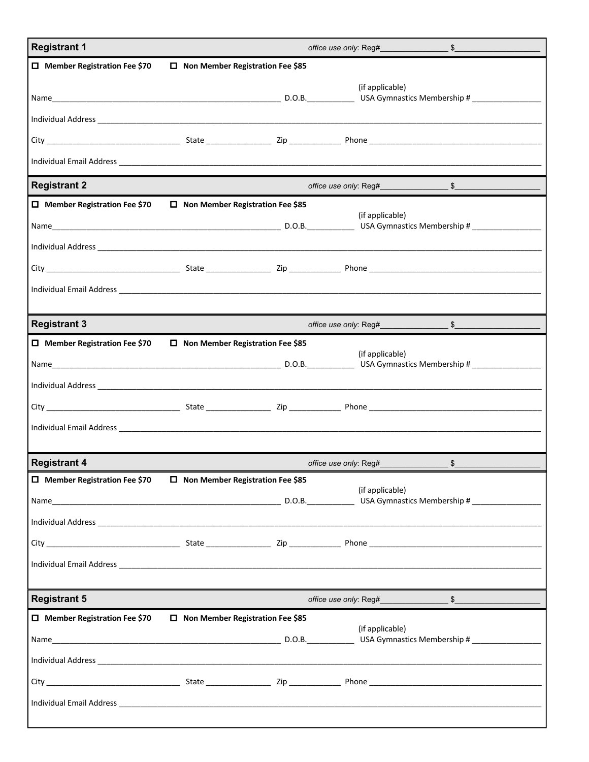| <b>Registrant 1</b>                                                               |                                         | office use only: Reg#<br>\$ |                                                                                                                                                                                                                                                   |                                                                                                                                                                                                                               |  |
|-----------------------------------------------------------------------------------|-----------------------------------------|-----------------------------|---------------------------------------------------------------------------------------------------------------------------------------------------------------------------------------------------------------------------------------------------|-------------------------------------------------------------------------------------------------------------------------------------------------------------------------------------------------------------------------------|--|
| $\Box$ Member Registration Fee \$70                                               | □ Non Member Registration Fee \$85      |                             |                                                                                                                                                                                                                                                   |                                                                                                                                                                                                                               |  |
|                                                                                   |                                         |                             | (if applicable)                                                                                                                                                                                                                                   |                                                                                                                                                                                                                               |  |
|                                                                                   |                                         |                             |                                                                                                                                                                                                                                                   |                                                                                                                                                                                                                               |  |
|                                                                                   |                                         |                             |                                                                                                                                                                                                                                                   |                                                                                                                                                                                                                               |  |
|                                                                                   |                                         |                             |                                                                                                                                                                                                                                                   |                                                                                                                                                                                                                               |  |
|                                                                                   |                                         |                             |                                                                                                                                                                                                                                                   |                                                                                                                                                                                                                               |  |
| <b>Registrant 2</b>                                                               |                                         |                             | office use only: Reg#                                                                                                                                                                                                                             | S,                                                                                                                                                                                                                            |  |
| $\Box$ Member Registration Fee \$70                                               | $\Box$ Non Member Registration Fee \$85 |                             | (if applicable)                                                                                                                                                                                                                                   |                                                                                                                                                                                                                               |  |
|                                                                                   |                                         |                             |                                                                                                                                                                                                                                                   |                                                                                                                                                                                                                               |  |
|                                                                                   |                                         |                             |                                                                                                                                                                                                                                                   |                                                                                                                                                                                                                               |  |
|                                                                                   |                                         |                             |                                                                                                                                                                                                                                                   |                                                                                                                                                                                                                               |  |
|                                                                                   |                                         |                             |                                                                                                                                                                                                                                                   |                                                                                                                                                                                                                               |  |
|                                                                                   |                                         |                             |                                                                                                                                                                                                                                                   |                                                                                                                                                                                                                               |  |
| <b>Registrant 3</b>                                                               |                                         |                             | office use only: Reg#___                                                                                                                                                                                                                          | $\frac{1}{2}$                                                                                                                                                                                                                 |  |
| $\Box$ Member Registration Fee \$70                                               | $\Box$ Non Member Registration Fee \$85 |                             |                                                                                                                                                                                                                                                   |                                                                                                                                                                                                                               |  |
|                                                                                   |                                         |                             | (if applicable)                                                                                                                                                                                                                                   |                                                                                                                                                                                                                               |  |
|                                                                                   |                                         |                             |                                                                                                                                                                                                                                                   |                                                                                                                                                                                                                               |  |
|                                                                                   |                                         |                             |                                                                                                                                                                                                                                                   |                                                                                                                                                                                                                               |  |
|                                                                                   |                                         |                             |                                                                                                                                                                                                                                                   |                                                                                                                                                                                                                               |  |
|                                                                                   |                                         |                             |                                                                                                                                                                                                                                                   |                                                                                                                                                                                                                               |  |
| <b>Registrant 4</b>                                                               |                                         |                             | office use only: Reg#                                                                                                                                                                                                                             | \$                                                                                                                                                                                                                            |  |
| $\square$ Member Registration Fee \$70 $\square$ Non Member Registration Fee \$85 |                                         |                             | (if applicable)                                                                                                                                                                                                                                   |                                                                                                                                                                                                                               |  |
|                                                                                   |                                         |                             |                                                                                                                                                                                                                                                   |                                                                                                                                                                                                                               |  |
|                                                                                   |                                         |                             |                                                                                                                                                                                                                                                   |                                                                                                                                                                                                                               |  |
|                                                                                   |                                         |                             |                                                                                                                                                                                                                                                   |                                                                                                                                                                                                                               |  |
|                                                                                   |                                         |                             |                                                                                                                                                                                                                                                   |                                                                                                                                                                                                                               |  |
|                                                                                   |                                         |                             |                                                                                                                                                                                                                                                   |                                                                                                                                                                                                                               |  |
| <b>Registrant 5</b>                                                               |                                         |                             |                                                                                                                                                                                                                                                   | office use only: Reg# 5 5 5 5 5 5 5 6 7 7 8 7 7 8 7 7 8 7 7 8 7 7 8 7 7 8 7 7 8 7 7 8 7 7 8 7 7 8 7 7 8 7 7 8 7 7 8 7 7 8 7 7 8 7 7 8 7 7 8 7 7 8 7 7 8 7 7 8 7 7 8 7 7 8 7 7 8 7 7 8 7 7 8 7 7 8 7 7 8 7 7 8 7 7 8 7 7 8 7 7 |  |
| $\square$ Member Registration Fee \$70 $\square$ Non Member Registration Fee \$85 |                                         |                             |                                                                                                                                                                                                                                                   |                                                                                                                                                                                                                               |  |
|                                                                                   |                                         |                             | (if applicable)<br>Name Later and the contract of the contract of the CDLC. Contract of the CDLC. Contract of the CDLC. Contract of the CDLC. Contract of the CDLC. Contract of the CDLC. Contract of the CDLC. Contract of the CDLC. Contract of |                                                                                                                                                                                                                               |  |
|                                                                                   |                                         |                             |                                                                                                                                                                                                                                                   |                                                                                                                                                                                                                               |  |
|                                                                                   |                                         |                             |                                                                                                                                                                                                                                                   |                                                                                                                                                                                                                               |  |
|                                                                                   |                                         |                             |                                                                                                                                                                                                                                                   |                                                                                                                                                                                                                               |  |
|                                                                                   |                                         |                             |                                                                                                                                                                                                                                                   |                                                                                                                                                                                                                               |  |